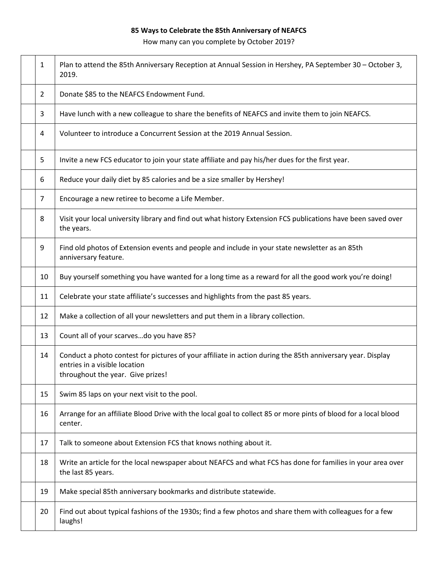## **85 Ways to Celebrate the 85th Anniversary of NEAFCS**

How many can you complete by October 2019?

| 1              | Plan to attend the 85th Anniversary Reception at Annual Session in Hershey, PA September 30 - October 3,<br>2019.                                                                |
|----------------|----------------------------------------------------------------------------------------------------------------------------------------------------------------------------------|
| $\overline{2}$ | Donate \$85 to the NEAFCS Endowment Fund.                                                                                                                                        |
| 3              | Have lunch with a new colleague to share the benefits of NEAFCS and invite them to join NEAFCS.                                                                                  |
| 4              | Volunteer to introduce a Concurrent Session at the 2019 Annual Session.                                                                                                          |
| 5              | Invite a new FCS educator to join your state affiliate and pay his/her dues for the first year.                                                                                  |
| 6              | Reduce your daily diet by 85 calories and be a size smaller by Hershey!                                                                                                          |
| 7              | Encourage a new retiree to become a Life Member.                                                                                                                                 |
| 8              | Visit your local university library and find out what history Extension FCS publications have been saved over<br>the years.                                                      |
| 9              | Find old photos of Extension events and people and include in your state newsletter as an 85th<br>anniversary feature.                                                           |
| 10             | Buy yourself something you have wanted for a long time as a reward for all the good work you're doing!                                                                           |
| 11             | Celebrate your state affiliate's successes and highlights from the past 85 years.                                                                                                |
| 12             | Make a collection of all your newsletters and put them in a library collection.                                                                                                  |
| 13             | Count all of your scarvesdo you have 85?                                                                                                                                         |
| 14             | Conduct a photo contest for pictures of your affiliate in action during the 85th anniversary year. Display<br>entries in a visible location<br>throughout the year. Give prizes! |
| 15             | Swim 85 laps on your next visit to the pool.                                                                                                                                     |
| 16             | Arrange for an affiliate Blood Drive with the local goal to collect 85 or more pints of blood for a local blood<br>center.                                                       |
| 17             | Talk to someone about Extension FCS that knows nothing about it.                                                                                                                 |
| 18             | Write an article for the local newspaper about NEAFCS and what FCS has done for families in your area over<br>the last 85 years.                                                 |
| 19             | Make special 85th anniversary bookmarks and distribute statewide.                                                                                                                |
| 20             | Find out about typical fashions of the 1930s; find a few photos and share them with colleagues for a few<br>laughs!                                                              |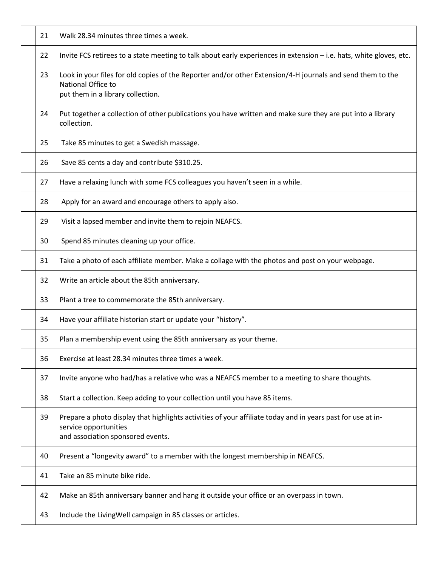| 21 | Walk 28.34 minutes three times a week.                                                                                                                                    |
|----|---------------------------------------------------------------------------------------------------------------------------------------------------------------------------|
| 22 | Invite FCS retirees to a state meeting to talk about early experiences in extension - i.e. hats, white gloves, etc.                                                       |
| 23 | Look in your files for old copies of the Reporter and/or other Extension/4-H journals and send them to the<br>National Office to<br>put them in a library collection.     |
| 24 | Put together a collection of other publications you have written and make sure they are put into a library<br>collection.                                                 |
| 25 | Take 85 minutes to get a Swedish massage.                                                                                                                                 |
| 26 | Save 85 cents a day and contribute \$310.25.                                                                                                                              |
| 27 | Have a relaxing lunch with some FCS colleagues you haven't seen in a while.                                                                                               |
| 28 | Apply for an award and encourage others to apply also.                                                                                                                    |
| 29 | Visit a lapsed member and invite them to rejoin NEAFCS.                                                                                                                   |
| 30 | Spend 85 minutes cleaning up your office.                                                                                                                                 |
| 31 | Take a photo of each affiliate member. Make a collage with the photos and post on your webpage.                                                                           |
| 32 | Write an article about the 85th anniversary.                                                                                                                              |
| 33 | Plant a tree to commemorate the 85th anniversary.                                                                                                                         |
| 34 | Have your affiliate historian start or update your "history".                                                                                                             |
| 35 | Plan a membership event using the 85th anniversary as your theme.                                                                                                         |
| 36 | Exercise at least 28.34 minutes three times a week.                                                                                                                       |
| 37 | Invite anyone who had/has a relative who was a NEAFCS member to a meeting to share thoughts.                                                                              |
| 38 | Start a collection. Keep adding to your collection until you have 85 items.                                                                                               |
| 39 | Prepare a photo display that highlights activities of your affiliate today and in years past for use at in-<br>service opportunities<br>and association sponsored events. |
| 40 | Present a "longevity award" to a member with the longest membership in NEAFCS.                                                                                            |
| 41 | Take an 85 minute bike ride.                                                                                                                                              |
| 42 | Make an 85th anniversary banner and hang it outside your office or an overpass in town.                                                                                   |
| 43 | Include the LivingWell campaign in 85 classes or articles.                                                                                                                |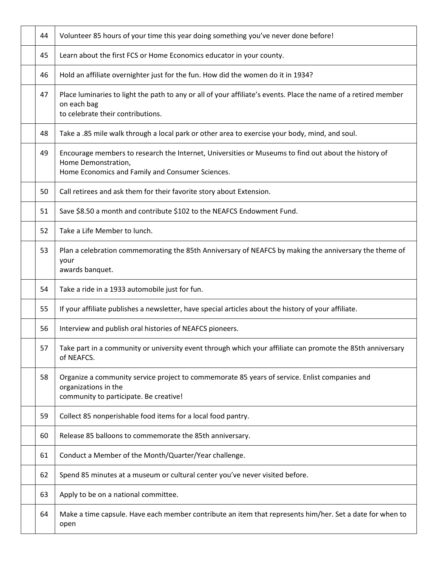| 44 | Volunteer 85 hours of your time this year doing something you've never done before!                                                                                             |
|----|---------------------------------------------------------------------------------------------------------------------------------------------------------------------------------|
| 45 | Learn about the first FCS or Home Economics educator in your county.                                                                                                            |
| 46 | Hold an affiliate overnighter just for the fun. How did the women do it in 1934?                                                                                                |
| 47 | Place luminaries to light the path to any or all of your affiliate's events. Place the name of a retired member<br>on each bag<br>to celebrate their contributions.             |
| 48 | Take a .85 mile walk through a local park or other area to exercise your body, mind, and soul.                                                                                  |
| 49 | Encourage members to research the Internet, Universities or Museums to find out about the history of<br>Home Demonstration,<br>Home Economics and Family and Consumer Sciences. |
| 50 | Call retirees and ask them for their favorite story about Extension.                                                                                                            |
| 51 | Save \$8.50 a month and contribute \$102 to the NEAFCS Endowment Fund.                                                                                                          |
| 52 | Take a Life Member to lunch.                                                                                                                                                    |
| 53 | Plan a celebration commemorating the 85th Anniversary of NEAFCS by making the anniversary the theme of<br>your<br>awards banquet.                                               |
|    |                                                                                                                                                                                 |
| 54 | Take a ride in a 1933 automobile just for fun.                                                                                                                                  |
| 55 | If your affiliate publishes a newsletter, have special articles about the history of your affiliate.                                                                            |
| 56 | Interview and publish oral histories of NEAFCS pioneers.                                                                                                                        |
| 57 | Take part in a community or university event through which your affiliate can promote the 85th anniversary<br>of NEAFCS.                                                        |
| 58 | Organize a community service project to commemorate 85 years of service. Enlist companies and<br>organizations in the<br>community to participate. Be creative!                 |
| 59 | Collect 85 nonperishable food items for a local food pantry.                                                                                                                    |
| 60 | Release 85 balloons to commemorate the 85th anniversary.                                                                                                                        |
| 61 | Conduct a Member of the Month/Quarter/Year challenge.                                                                                                                           |
| 62 | Spend 85 minutes at a museum or cultural center you've never visited before.                                                                                                    |
| 63 | Apply to be on a national committee.                                                                                                                                            |